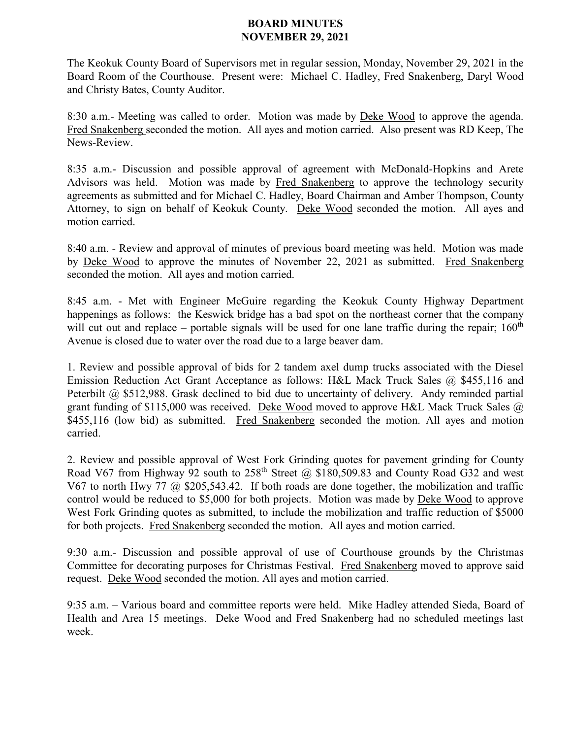## **BOARD MINUTES NOVEMBER 29, 2021**

The Keokuk County Board of Supervisors met in regular session, Monday, November 29, 2021 in the Board Room of the Courthouse. Present were: Michael C. Hadley, Fred Snakenberg, Daryl Wood and Christy Bates, County Auditor.

8:30 a.m.- Meeting was called to order. Motion was made by Deke Wood to approve the agenda. Fred Snakenberg seconded the motion. All ayes and motion carried. Also present was RD Keep, The News-Review.

8:35 a.m.- Discussion and possible approval of agreement with McDonald-Hopkins and Arete Advisors was held. Motion was made by Fred Snakenberg to approve the technology security agreements as submitted and for Michael C. Hadley, Board Chairman and Amber Thompson, County Attorney, to sign on behalf of Keokuk County. Deke Wood seconded the motion. All ayes and motion carried.

8:40 a.m. - Review and approval of minutes of previous board meeting was held. Motion was made by Deke Wood to approve the minutes of November 22, 2021 as submitted. Fred Snakenberg seconded the motion. All ayes and motion carried.

8:45 a.m. - Met with Engineer McGuire regarding the Keokuk County Highway Department happenings as follows: the Keswick bridge has a bad spot on the northeast corner that the company will cut out and replace – portable signals will be used for one lane traffic during the repair;  $160<sup>th</sup>$ Avenue is closed due to water over the road due to a large beaver dam.

1. Review and possible approval of bids for 2 tandem axel dump trucks associated with the Diesel Emission Reduction Act Grant Acceptance as follows: H&L Mack Truck Sales @ \$455,116 and Peterbilt @ \$512,988. Grask declined to bid due to uncertainty of delivery. Andy reminded partial grant funding of \$115,000 was received. Deke Wood moved to approve H&L Mack Truck Sales  $@$ . \$455,116 (low bid) as submitted. Fred Snakenberg seconded the motion. All ayes and motion carried.

2. Review and possible approval of West Fork Grinding quotes for pavement grinding for County Road V67 from Highway 92 south to  $258<sup>th</sup>$  Street @ \$180,509.83 and County Road G32 and west V67 to north Hwy 77 @ \$205,543.42. If both roads are done together, the mobilization and traffic control would be reduced to \$5,000 for both projects. Motion was made by Deke Wood to approve West Fork Grinding quotes as submitted, to include the mobilization and traffic reduction of \$5000 for both projects. Fred Snakenberg seconded the motion. All ayes and motion carried.

9:30 a.m.- Discussion and possible approval of use of Courthouse grounds by the Christmas Committee for decorating purposes for Christmas Festival. Fred Snakenberg moved to approve said request. Deke Wood seconded the motion. All ayes and motion carried.

9:35 a.m. – Various board and committee reports were held. Mike Hadley attended Sieda, Board of Health and Area 15 meetings. Deke Wood and Fred Snakenberg had no scheduled meetings last week.